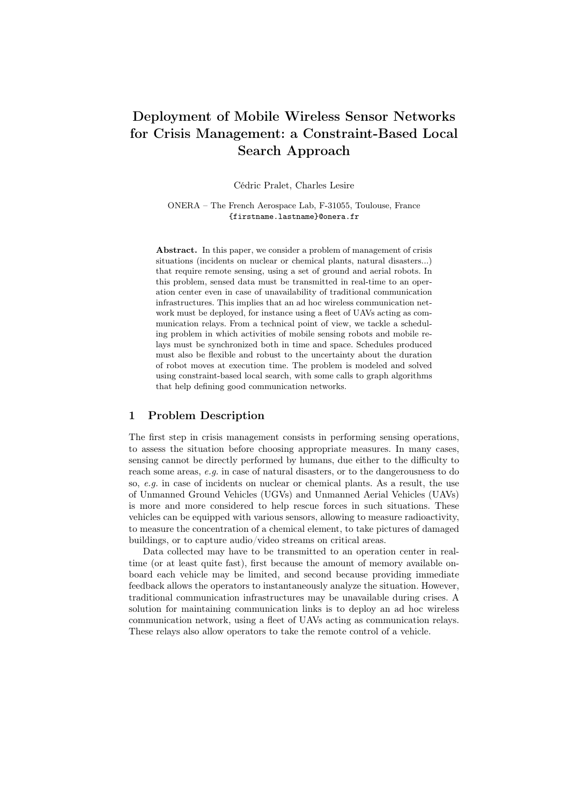# Deployment of Mobile Wireless Sensor Networks for Crisis Management: a Constraint-Based Local Search Approach

Cédric Pralet, Charles Lesire

ONERA – The French Aerospace Lab, F-31055, Toulouse, France {firstname.lastname}@onera.fr

Abstract. In this paper, we consider a problem of management of crisis situations (incidents on nuclear or chemical plants, natural disasters...) that require remote sensing, using a set of ground and aerial robots. In this problem, sensed data must be transmitted in real-time to an operation center even in case of unavailability of traditional communication infrastructures. This implies that an ad hoc wireless communication network must be deployed, for instance using a fleet of UAVs acting as communication relays. From a technical point of view, we tackle a scheduling problem in which activities of mobile sensing robots and mobile relays must be synchronized both in time and space. Schedules produced must also be flexible and robust to the uncertainty about the duration of robot moves at execution time. The problem is modeled and solved using constraint-based local search, with some calls to graph algorithms that help defining good communication networks.

# 1 Problem Description

The first step in crisis management consists in performing sensing operations, to assess the situation before choosing appropriate measures. In many cases, sensing cannot be directly performed by humans, due either to the difficulty to reach some areas, e.g. in case of natural disasters, or to the dangerousness to do so, e.g. in case of incidents on nuclear or chemical plants. As a result, the use of Unmanned Ground Vehicles (UGVs) and Unmanned Aerial Vehicles (UAVs) is more and more considered to help rescue forces in such situations. These vehicles can be equipped with various sensors, allowing to measure radioactivity, to measure the concentration of a chemical element, to take pictures of damaged buildings, or to capture audio/video streams on critical areas.

Data collected may have to be transmitted to an operation center in realtime (or at least quite fast), first because the amount of memory available onboard each vehicle may be limited, and second because providing immediate feedback allows the operators to instantaneously analyze the situation. However, traditional communication infrastructures may be unavailable during crises. A solution for maintaining communication links is to deploy an ad hoc wireless communication network, using a fleet of UAVs acting as communication relays. These relays also allow operators to take the remote control of a vehicle.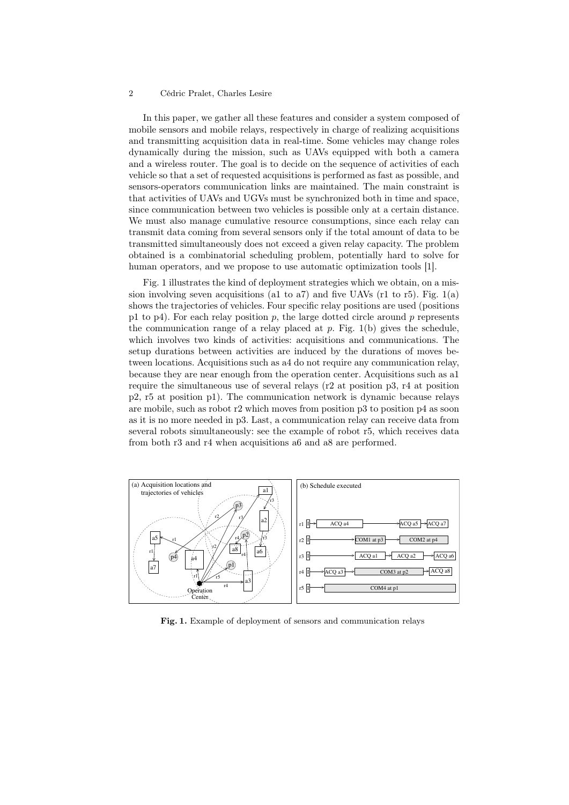In this paper, we gather all these features and consider a system composed of mobile sensors and mobile relays, respectively in charge of realizing acquisitions and transmitting acquisition data in real-time. Some vehicles may change roles dynamically during the mission, such as UAVs equipped with both a camera and a wireless router. The goal is to decide on the sequence of activities of each vehicle so that a set of requested acquisitions is performed as fast as possible, and sensors-operators communication links are maintained. The main constraint is that activities of UAVs and UGVs must be synchronized both in time and space, since communication between two vehicles is possible only at a certain distance. We must also manage cumulative resource consumptions, since each relay can transmit data coming from several sensors only if the total amount of data to be transmitted simultaneously does not exceed a given relay capacity. The problem obtained is a combinatorial scheduling problem, potentially hard to solve for human operators, and we propose to use automatic optimization tools [1].

Fig. 1 illustrates the kind of deployment strategies which we obtain, on a mission involving seven acquisitions (a1 to a7) and five UAVs (r1 to r5). Fig.  $1(a)$ shows the trajectories of vehicles. Four specific relay positions are used (positions p1 to p4). For each relay position p, the large dotted circle around p represents the communication range of a relay placed at  $p$ . Fig. 1(b) gives the schedule, which involves two kinds of activities: acquisitions and communications. The setup durations between activities are induced by the durations of moves between locations. Acquisitions such as a4 do not require any communication relay, because they are near enough from the operation center. Acquisitions such as a1 require the simultaneous use of several relays (r2 at position p3, r4 at position p2, r5 at position p1). The communication network is dynamic because relays are mobile, such as robot r2 which moves from position p3 to position p4 as soon as it is no more needed in p3. Last, a communication relay can receive data from several robots simultaneously: see the example of robot r5, which receives data from both r3 and r4 when acquisitions a6 and a8 are performed.



Fig. 1. Example of deployment of sensors and communication relays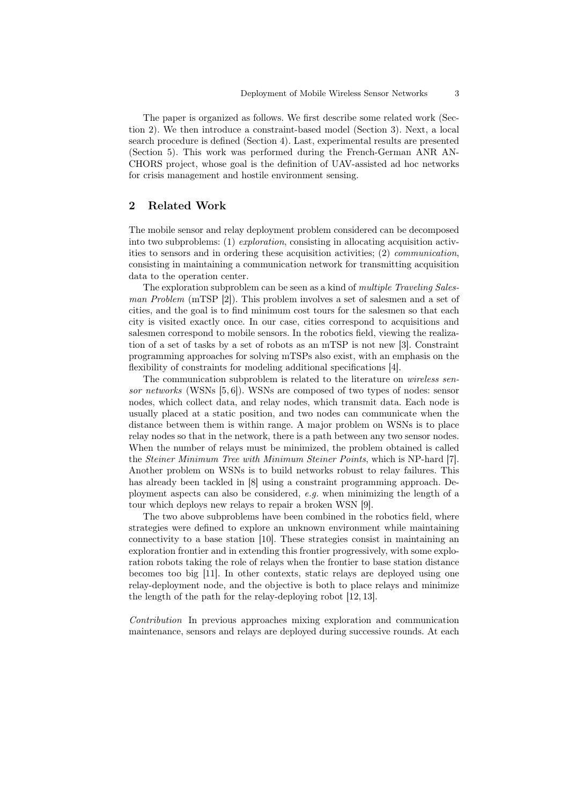The paper is organized as follows. We first describe some related work (Section 2). We then introduce a constraint-based model (Section 3). Next, a local search procedure is defined (Section 4). Last, experimental results are presented (Section 5). This work was performed during the French-German ANR AN-CHORS project, whose goal is the definition of UAV-assisted ad hoc networks for crisis management and hostile environment sensing.

# 2 Related Work

The mobile sensor and relay deployment problem considered can be decomposed into two subproblems: (1) exploration, consisting in allocating acquisition activities to sensors and in ordering these acquisition activities; (2) communication, consisting in maintaining a communication network for transmitting acquisition data to the operation center.

The exploration subproblem can be seen as a kind of multiple Traveling Salesman Problem (mTSP [2]). This problem involves a set of salesmen and a set of cities, and the goal is to find minimum cost tours for the salesmen so that each city is visited exactly once. In our case, cities correspond to acquisitions and salesmen correspond to mobile sensors. In the robotics field, viewing the realization of a set of tasks by a set of robots as an mTSP is not new [3]. Constraint programming approaches for solving mTSPs also exist, with an emphasis on the flexibility of constraints for modeling additional specifications [4].

The communication subproblem is related to the literature on wireless sensor networks (WSNs [5, 6]). WSNs are composed of two types of nodes: sensor nodes, which collect data, and relay nodes, which transmit data. Each node is usually placed at a static position, and two nodes can communicate when the distance between them is within range. A major problem on WSNs is to place relay nodes so that in the network, there is a path between any two sensor nodes. When the number of relays must be minimized, the problem obtained is called the Steiner Minimum Tree with Minimum Steiner Points, which is NP-hard [7]. Another problem on WSNs is to build networks robust to relay failures. This has already been tackled in [8] using a constraint programming approach. Deployment aspects can also be considered, e.g. when minimizing the length of a tour which deploys new relays to repair a broken WSN [9].

The two above subproblems have been combined in the robotics field, where strategies were defined to explore an unknown environment while maintaining connectivity to a base station [10]. These strategies consist in maintaining an exploration frontier and in extending this frontier progressively, with some exploration robots taking the role of relays when the frontier to base station distance becomes too big [11]. In other contexts, static relays are deployed using one relay-deployment node, and the objective is both to place relays and minimize the length of the path for the relay-deploying robot [12, 13].

Contribution In previous approaches mixing exploration and communication maintenance, sensors and relays are deployed during successive rounds. At each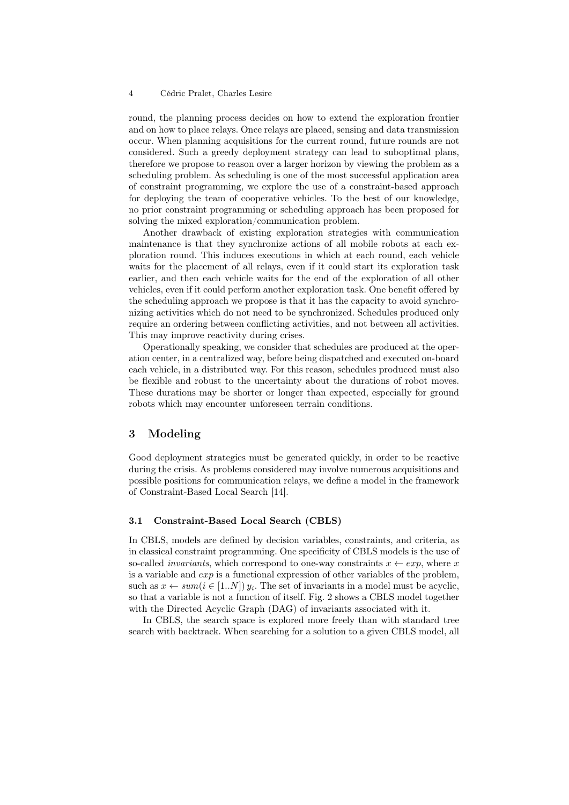round, the planning process decides on how to extend the exploration frontier and on how to place relays. Once relays are placed, sensing and data transmission occur. When planning acquisitions for the current round, future rounds are not considered. Such a greedy deployment strategy can lead to suboptimal plans, therefore we propose to reason over a larger horizon by viewing the problem as a scheduling problem. As scheduling is one of the most successful application area of constraint programming, we explore the use of a constraint-based approach for deploying the team of cooperative vehicles. To the best of our knowledge, no prior constraint programming or scheduling approach has been proposed for solving the mixed exploration/communication problem.

Another drawback of existing exploration strategies with communication maintenance is that they synchronize actions of all mobile robots at each exploration round. This induces executions in which at each round, each vehicle waits for the placement of all relays, even if it could start its exploration task earlier, and then each vehicle waits for the end of the exploration of all other vehicles, even if it could perform another exploration task. One benefit offered by the scheduling approach we propose is that it has the capacity to avoid synchronizing activities which do not need to be synchronized. Schedules produced only require an ordering between conflicting activities, and not between all activities. This may improve reactivity during crises.

Operationally speaking, we consider that schedules are produced at the operation center, in a centralized way, before being dispatched and executed on-board each vehicle, in a distributed way. For this reason, schedules produced must also be flexible and robust to the uncertainty about the durations of robot moves. These durations may be shorter or longer than expected, especially for ground robots which may encounter unforeseen terrain conditions.

# 3 Modeling

Good deployment strategies must be generated quickly, in order to be reactive during the crisis. As problems considered may involve numerous acquisitions and possible positions for communication relays, we define a model in the framework of Constraint-Based Local Search [14].

# 3.1 Constraint-Based Local Search (CBLS)

In CBLS, models are defined by decision variables, constraints, and criteria, as in classical constraint programming. One specificity of CBLS models is the use of so-called *invariants*, which correspond to one-way constraints  $x \leftarrow exp$ , where x is a variable and  $exp$  is a functional expression of other variables of the problem, such as  $x \leftarrow sum(i \in [1..N]) y_i$ . The set of invariants in a model must be acyclic, so that a variable is not a function of itself. Fig. 2 shows a CBLS model together with the Directed Acyclic Graph (DAG) of invariants associated with it.

In CBLS, the search space is explored more freely than with standard tree search with backtrack. When searching for a solution to a given CBLS model, all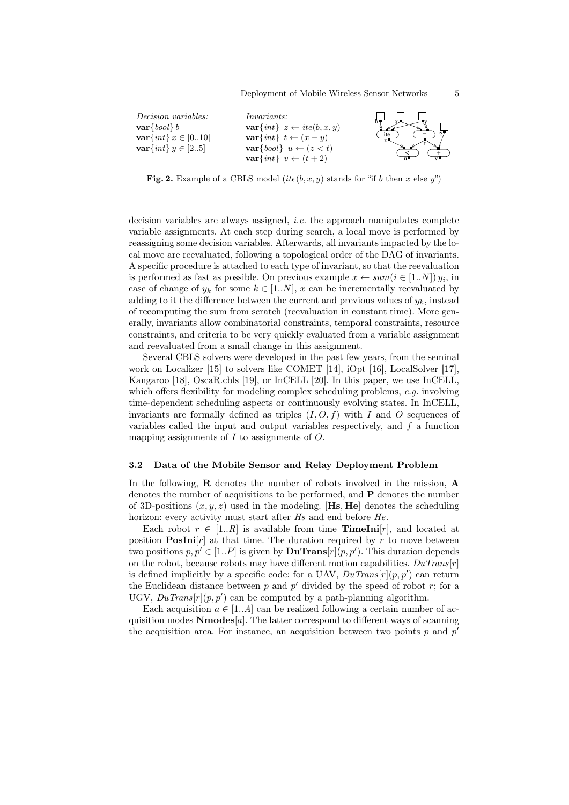

Fig. 2. Example of a CBLS model (ite(b, x, y) stands for "if b then x else y")

decision variables are always assigned, *i.e.* the approach manipulates complete variable assignments. At each step during search, a local move is performed by reassigning some decision variables. Afterwards, all invariants impacted by the local move are reevaluated, following a topological order of the DAG of invariants. A specific procedure is attached to each type of invariant, so that the reevaluation is performed as fast as possible. On previous example  $x \leftarrow sum(i \in [1..N]) y_i$ , in case of change of  $y_k$  for some  $k \in [1..N]$ , x can be incrementally reevaluated by adding to it the difference between the current and previous values of  $y_k$ , instead of recomputing the sum from scratch (reevaluation in constant time). More generally, invariants allow combinatorial constraints, temporal constraints, resource constraints, and criteria to be very quickly evaluated from a variable assignment and reevaluated from a small change in this assignment.

Several CBLS solvers were developed in the past few years, from the seminal work on Localizer [15] to solvers like COMET [14], iOpt [16], LocalSolver [17], Kangaroo [18], OscaR.cbls [19], or InCELL [20]. In this paper, we use InCELL, which offers flexibility for modeling complex scheduling problems, e.g. involving time-dependent scheduling aspects or continuously evolving states. In InCELL, invariants are formally defined as triples  $(I, O, f)$  with I and O sequences of variables called the input and output variables respectively, and  $f$  a function mapping assignments of  $I$  to assignments of  $O$ .

# 3.2 Data of the Mobile Sensor and Relay Deployment Problem

In the following, **R** denotes the number of robots involved in the mission, **A** denotes the number of acquisitions to be performed, and P denotes the number of 3D-positions  $(x, y, z)$  used in the modeling. [Hs, He] denotes the scheduling horizon: every activity must start after Hs and end before He.

Each robot  $r \in [1..R]$  is available from time **TimeIni**[r], and located at position **PosIni**[r] at that time. The duration required by r to move between two positions  $p, p' \in [1..P]$  is given by  $\textbf{DuTrans}[r](p, p')$ . This duration depends on the robot, because robots may have different motion capabilities.  $DuTrans[r]$ is defined implicitly by a specific code: for a UAV,  $DuTrans[r](p, p')$  can return the Euclidean distance between  $p$  and  $p'$  divided by the speed of robot  $r$ ; for a UGV,  $DuTrans[r](p, p')$  can be computed by a path-planning algorithm.

Each acquisition  $a \in [1..A]$  can be realized following a certain number of acquisition modes  $N$ modes $[a]$ . The latter correspond to different ways of scanning the acquisition area. For instance, an acquisition between two points  $p$  and  $p'$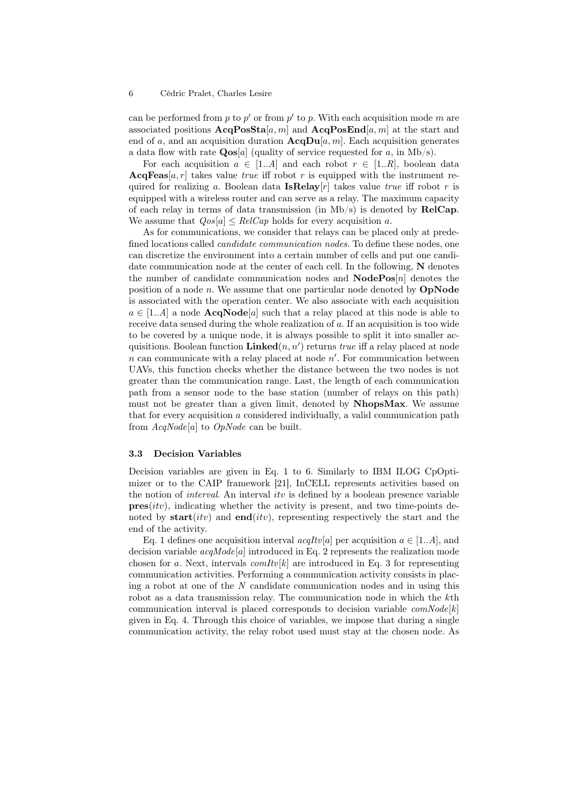can be performed from  $p$  to  $p'$  or from  $p'$  to  $p$ . With each acquisition mode  $m$  are associated positions  $\text{AcqPosSta}[a, m]$  and  $\text{AcqPosEnd}[a, m]$  at the start and end of a, and an acquisition duration  $\text{AcqDu}[a, m]$ . Each acquisition generates a data flow with rate  $\textbf{Qos}[a]$  (quality of service requested for a, in Mb/s).

For each acquisition  $a \in [1..A]$  and each robot  $r \in [1..R]$ , boolean data  $AcqFeas[a, r]$  takes value *true* iff robot r is equipped with the instrument required for realizing a. Boolean data IsRelay  $[r]$  takes value true iff robot r is equipped with a wireless router and can serve as a relay. The maximum capacity of each relay in terms of data transmission (in  $Mb/s)$  is denoted by  $RelCap$ . We assume that  $Qos[a] \leq RelCap$  holds for every acquisition a.

As for communications, we consider that relays can be placed only at predefined locations called candidate communication nodes. To define these nodes, one can discretize the environment into a certain number of cells and put one candidate communication node at the center of each cell. In the following, N denotes the number of candidate communication nodes and  $\mathbf{NodePos}[n]$  denotes the position of a node n. We assume that one particular node denoted by  $\text{OpNode}$ is associated with the operation center. We also associate with each acquisition  $a \in [1..A]$  a node  $AcqNode[a]$  such that a relay placed at this node is able to receive data sensed during the whole realization of a. If an acquisition is too wide to be covered by a unique node, it is always possible to split it into smaller acquisitions. Boolean function  $\mathbf{Linked}(n, n')$  returns true iff a relay placed at node n can communicate with a relay placed at node  $n'$ . For communication between UAVs, this function checks whether the distance between the two nodes is not greater than the communication range. Last, the length of each communication path from a sensor node to the base station (number of relays on this path) must not be greater than a given limit, denoted by NhopsMax. We assume that for every acquisition a considered individually, a valid communication path from  $AcqNode[a]$  to  $OpNode$  can be built.

## 3.3 Decision Variables

Decision variables are given in Eq. 1 to 6. Similarly to IBM ILOG CpOptimizer or to the CAIP framework [21], InCELL represents activities based on the notion of *interval*. An interval *itv* is defined by a boolean presence variable  $pres(itv)$ , indicating whether the activity is present, and two time-points denoted by  $\textbf{start}(itv)$  and  $\textbf{end}(itv)$ , representing respectively the start and the end of the activity.

Eq. 1 defines one acquisition interval *acqItv[a]* per acquisition  $a \in [1..A]$ , and decision variable  $acqMode[a]$  introduced in Eq. 2 represents the realization mode chosen for a. Next, intervals  $comItv[k]$  are introduced in Eq. 3 for representing communication activities. Performing a communication activity consists in placing a robot at one of the N candidate communication nodes and in using this robot as a data transmission relay. The communication node in which the kth communication interval is placed corresponds to decision variable  $comNode[k]$ given in Eq. 4. Through this choice of variables, we impose that during a single communication activity, the relay robot used must stay at the chosen node. As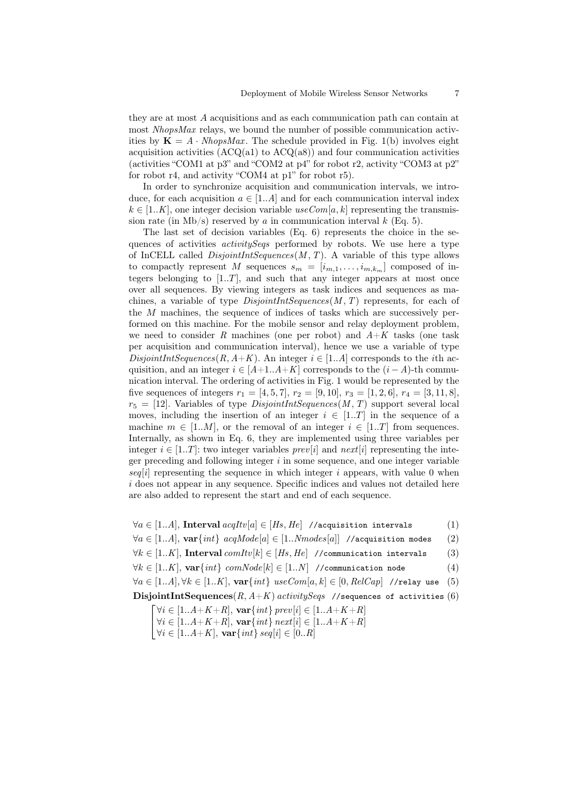they are at most A acquisitions and as each communication path can contain at most *NhopsMax* relays, we bound the number of possible communication activities by  $\mathbf{K} = A \cdot N \cdot \text{N} \cdot \text{N} \cdot \text{N} \cdot \text{N}$  as the schedule provided in Fig. 1(b) involves eight acquisition activities  $(ACQ(a1)$  to  $ACQ(a8)$  and four communication activities (activities "COM1 at p3" and "COM2 at p4" for robot r2, activity "COM3 at p2" for robot r4, and activity "COM4 at p1" for robot r5).

In order to synchronize acquisition and communication intervals, we introduce, for each acquisition  $a \in [1..A]$  and for each communication interval index  $k \in [1..K]$ , one integer decision variable  $useCom[a, k]$  representing the transmission rate (in Mb/s) reserved by a in communication interval  $k$  (Eq. 5).

The last set of decision variables (Eq. 6) represents the choice in the sequences of activities *activitySeqs* performed by robots. We use here a type of InCELL called  $DisjointIntSequences(M, T)$ . A variable of this type allows to compactly represent M sequences  $s_m = [i_{m,1}, \ldots, i_{m,k_m}]$  composed of integers belonging to  $[1..T]$ , and such that any integer appears at most once over all sequences. By viewing integers as task indices and sequences as machines, a variable of type  $DisjointIntSequences(M, T)$  represents, for each of the M machines, the sequence of indices of tasks which are successively performed on this machine. For the mobile sensor and relay deployment problem, we need to consider R machines (one per robot) and  $A+K$  tasks (one task per acquisition and communication interval), hence we use a variable of type DisjointIntSequences(R, A+K). An integer  $i \in [1..A]$  corresponds to the *i*th acquisition, and an integer  $i \in [A+1..A+K]$  corresponds to the  $(i-A)$ -th communication interval. The ordering of activities in Fig. 1 would be represented by the five sequences of integers  $r_1 = [4, 5, 7], r_2 = [9, 10], r_3 = [1, 2, 6], r_4 = [3, 11, 8],$  $r_5 = [12]$ . Variables of type *DisjointIntSequences*(*M*, *T*) support several local moves, including the insertion of an integer  $i \in [1..T]$  in the sequence of a machine  $m \in [1..M]$ , or the removal of an integer  $i \in [1..T]$  from sequences. Internally, as shown in Eq. 6, they are implemented using three variables per integer  $i \in [1..T]$ : two integer variables prev[i] and next[i] representing the integer preceding and following integer  $i$  in some sequence, and one integer variable seq[i] representing the sequence in which integer i appears, with value 0 when i does not appear in any sequence. Specific indices and values not detailed here are also added to represent the start and end of each sequence.

$$
\forall a \in [1..A], \text{Interval } acqltv[a] \in [Hs, He] \text{ // acquisition intervals} \tag{1}
$$
\n
$$
\forall a \in [1..A], \text{ var}\{int\} acqlbole[a] \in [1..Nmodes[a]] \text{ // acquisition modes} \tag{2}
$$
\n
$$
\forall k \in [1..K], \text{Interval } comItv[k] \in [Hs, He] \text{ // communication intervals} \tag{3}
$$
\n
$$
\forall k \in [1..K], \text{ var}\{int\} comNode[k] \in [1..N] \text{ // communication node} \tag{4}
$$
\n
$$
\forall a \in [1..A], \forall k \in [1..K], \text{ var}\{int\} use Com[a, k] \in [0, RelCap] \text{ // relay use} \tag{5}
$$
\n**DisjointIntSequences**(R, A+K) activitySeges \text{ //sequences of activities} \tag{6}\n
$$
\begin{bmatrix}\n\forall i \in [1..A+K+R], \text{var}\{int\} prev[i] \in [1..A+K+R] \text{ } \\
\forall i \in [1..A+K+R], \text{var}\{int\} next[i] \in [1..A+K+R]\n\end{bmatrix}
$$

 $\forall i \in [1..A+K], \textbf{var}\{int\} \text{seq}[i] \in [0..R]$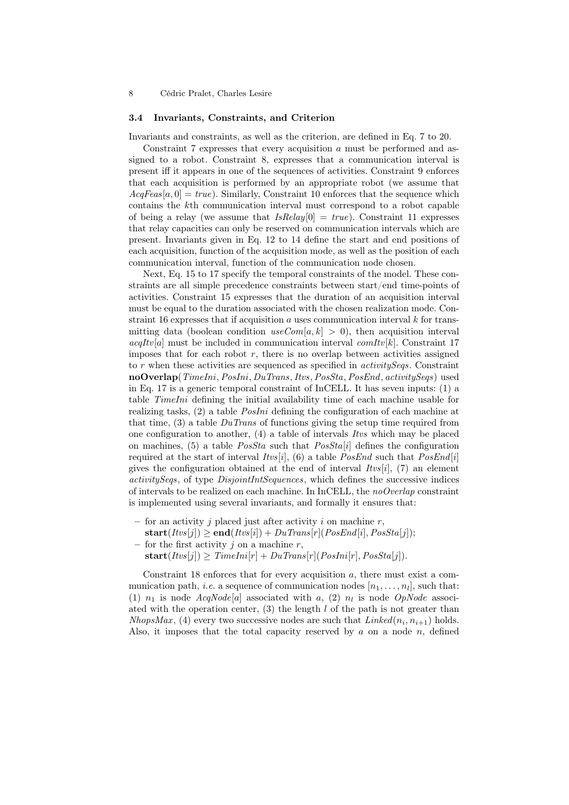#### 3.4 Invariants, Constraints, and Criterion

Invariants and constraints, as well as the criterion, are defined in Eq. 7 to 20.

Constraint 7 expresses that every acquisition a must be performed and assigned to a robot. Constraint 8, expresses that a communication interval is present iff it appears in one of the sequences of activities. Constraint 9 enforces that each acquisition is performed by an appropriate robot (we assume that  $AcqFeas[a, 0] = true$ ). Similarly, Constraint 10 enforces that the sequence which contains the kth communication interval must correspond to a robot capable of being a relay (we assume that  $IsRelau[0] = true$ ). Constraint 11 expresses that relay capacities can only be reserved on communication intervals which are present. Invariants given in Eq. 12 to 14 define the start and end positions of each acquisition, function of the acquisition mode, as well as the position of each communication interval, function of the communication node chosen.

Next, Eq. 15 to 17 specify the temporal constraints of the model. These constraints are all simple precedence constraints between start/end time-points of activities. Constraint 15 expresses that the duration of an acquisition interval must be equal to the duration associated with the chosen realization mode. Constraint 16 expresses that if acquisition  $a$  uses communication interval  $k$  for transmitting data (boolean condition  $useCom[a, k] > 0$ ), then acquisition interval  $acqItv[a]$  must be included in communication interval com $Itv[k]$ . Constraint 17 imposes that for each robot  $r$ , there is no overlap between activities assigned to  $r$  when these activities are sequenced as specified in *activitySeqs*. Constraint noOverlap(TimeIni, PosIni, DuTrans, Itvs, PosSta, PosEnd, activitySeqs) used in Eq. 17 is a generic temporal constraint of InCELL. It has seven inputs: (1) a table *TimeIni* defining the initial availability time of each machine usable for realizing tasks, (2) a table *PosIni* defining the configuration of each machine at that time,  $(3)$  a table  $DuTrans$  of functions giving the setup time required from one configuration to another, (4) a table of intervals Itvs which may be placed on machines, (5) a table *PosSta* such that  $PossSta[i]$  defines the configuration required at the start of interval Itvs[i], (6) a table  $PosEnd$  such that  $PosEnd[i]$ gives the configuration obtained at the end of interval  $Itv\overline{s}[i]$ , (7) an element activitySeqs, of type DisjointIntSequences, which defines the successive indices of intervals to be realized on each machine. In InCELL, the *noOverlap* constraint is implemented using several invariants, and formally it ensures that:

- for an activity j placed just after activity i on machine  $r$ ,  $\textbf{start}(Itvs[j]) \geq \textbf{end}(Itvs[i]) + DuTrans[r](PosEnd[i], PossSta[j]);$
- for the first activity  $j$  on a machine  $r$ ,

 $\textbf{start}(Itvs[j]) \geq TimeIni[r] + DuTrans[r](PosIni[r], PossSta[j]).$ 

Constraint 18 enforces that for every acquisition a, there must exist a communication path, *i.e.* a sequence of communication nodes  $[n_1, \ldots, n_l]$ , such that: (1)  $n_1$  is node  $AcqNode[a]$  associated with a, (2)  $n_l$  is node  $OpNode$  associated with the operation center,  $(3)$  the length l of the path is not greater than *NhopsMax*, (4) every two successive nodes are such that  $Linked(n_i, n_{i+1})$  holds. Also, it imposes that the total capacity reserved by  $a$  on a node  $n$ , defined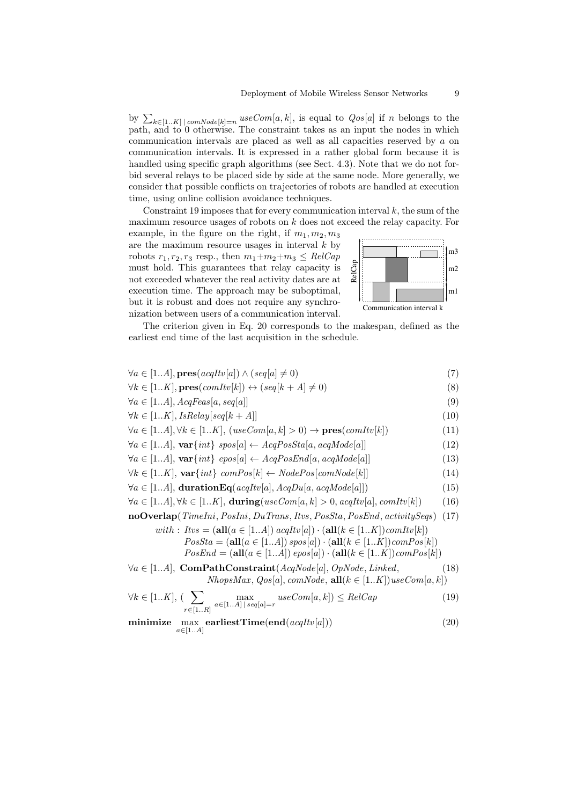by  $\sum_{k\in [1..K]\,|\,comNode[k]=n}$  use Com[a, k], is equal to  $Qos[a]$  if n belongs to the path, and to 0 otherwise. The constraint takes as an input the nodes in which communication intervals are placed as well as all capacities reserved by a on communication intervals. It is expressed in a rather global form because it is handled using specific graph algorithms (see Sect. 4.3). Note that we do not forbid several relays to be placed side by side at the same node. More generally, we consider that possible conflicts on trajectories of robots are handled at execution time, using online collision avoidance techniques.

Constraint 19 imposes that for every communication interval  $k$ , the sum of the maximum resource usages of robots on k does not exceed the relay capacity. For

example, in the figure on the right, if  $m_1, m_2, m_3$ are the maximum resource usages in interval  $k$  by robots  $r_1, r_2, r_3$  resp., then  $m_1+m_2+m_3 \leq RelCap$ must hold. This guarantees that relay capacity is not exceeded whatever the real activity dates are at execution time. The approach may be suboptimal, but it is robust and does not require any synchronization between users of a communication interval.



The criterion given in Eq. 20 corresponds to the makespan, defined as the earliest end time of the last acquisition in the schedule.

$$
\forall a \in [1..A], \mathbf{pres}(acqItv[a]) \land (seq[a] \neq 0) \qquad (7)
$$
\n
$$
\forall k \in [1..K], \mathbf{pres}(comItv[k]) \leftrightarrow (seq[k + A] \neq 0) \qquad (8)
$$
\n
$$
\forall a \in [1..A], \text{AcqFeas}[a, seq[a]] \qquad (9)
$$
\n
$$
\forall k \in [1..K], \text{IsRelay}[seq[k + A]] \qquad (10)
$$
\n
$$
\forall a \in [1..A], \forall k \in [1..K], (useCom[a, k] > 0) \rightarrow \mathbf{pres}(comItv[k]) \qquad (11)
$$
\n
$$
\forall a \in [1..A], \mathbf{var}\{int\} \text{ } sys[a] \leftarrow \text{AcqPosSta}[a, \text{acqModel}[a]] \qquad (12)
$$
\n
$$
\forall a \in [1..A], \mathbf{var}\{int\} \text{ } epos[a] \leftarrow \text{AcqPosEnd}[a, \text{acqModel}[a]] \qquad (13)
$$
\n
$$
\forall k \in [1..K], \mathbf{var}\{int\} \text{ } comPos[k] \leftarrow \text{NodePos}[comNode[k]] \qquad (14)
$$
\n
$$
\forall a \in [1..A], \text{durationEq}(acqItv[a], \text{AcqDu}[a, \text{acqModel}[a]]) \qquad (15)
$$
\n
$$
\forall a \in [1..A], \text{durationEq}(aceCom[a, k] > 0, \text{acqItv}[a], \text{comItv}[k]) \qquad (16)
$$
\n
$$
\mathbf{noOverlap(TimeIni, PosIni, DufTrans, Itvs, Poss5ta, PosEnd, \text{activitySegs}) \qquad (17)
$$
\n
$$
\text{with: Itvs} = (\text{all}(a \in [1..A]) \text{ acqItv}[a]) \cdot (\text{all}(k \in [1..K]) \text{comItv}[k]) \qquad \text{PosSta} = (\text{all}(a \in [1..A]) \text{ spos}[a]) \cdot (\text{all}(k \in [1..K]) \text{comPos}[k]) \qquad \text{PosSta} = (\text{all}(a \in [1..A]) \text{epos}[a]) \cdot (\text{all}(k \in [1..K]) \text{comPos}[k]) \qquad \text{
$$

$$
\text{minimize} \max_{a \in [1..A]} \text{earliestTime}(\text{end}(acqltv[a])) \tag{20}
$$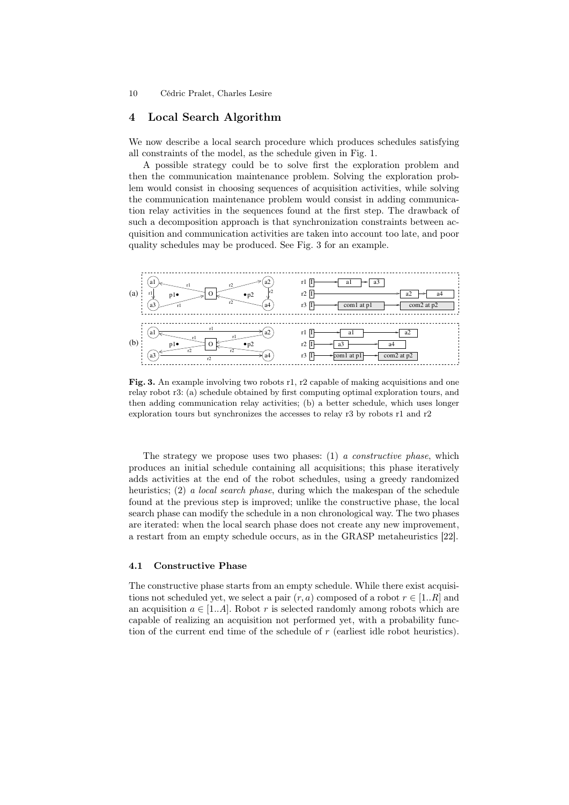# 4 Local Search Algorithm

We now describe a local search procedure which produces schedules satisfying all constraints of the model, as the schedule given in Fig. 1.

A possible strategy could be to solve first the exploration problem and then the communication maintenance problem. Solving the exploration problem would consist in choosing sequences of acquisition activities, while solving the communication maintenance problem would consist in adding communication relay activities in the sequences found at the first step. The drawback of such a decomposition approach is that synchronization constraints between acquisition and communication activities are taken into account too late, and poor quality schedules may be produced. See Fig. 3 for an example.



Fig. 3. An example involving two robots r1, r2 capable of making acquisitions and one relay robot r3: (a) schedule obtained by first computing optimal exploration tours, and then adding communication relay activities; (b) a better schedule, which uses longer exploration tours but synchronizes the accesses to relay r3 by robots r1 and r2

The strategy we propose uses two phases:  $(1)$  a constructive phase, which produces an initial schedule containing all acquisitions; this phase iteratively adds activities at the end of the robot schedules, using a greedy randomized heuristics; (2) a local search phase, during which the makespan of the schedule found at the previous step is improved; unlike the constructive phase, the local search phase can modify the schedule in a non chronological way. The two phases are iterated: when the local search phase does not create any new improvement, a restart from an empty schedule occurs, as in the GRASP metaheuristics [22].

#### 4.1 Constructive Phase

The constructive phase starts from an empty schedule. While there exist acquisitions not scheduled yet, we select a pair  $(r, a)$  composed of a robot  $r \in [1..R]$  and an acquisition  $a \in [1..A]$ . Robot r is selected randomly among robots which are capable of realizing an acquisition not performed yet, with a probability function of the current end time of the schedule of r (earliest idle robot heuristics).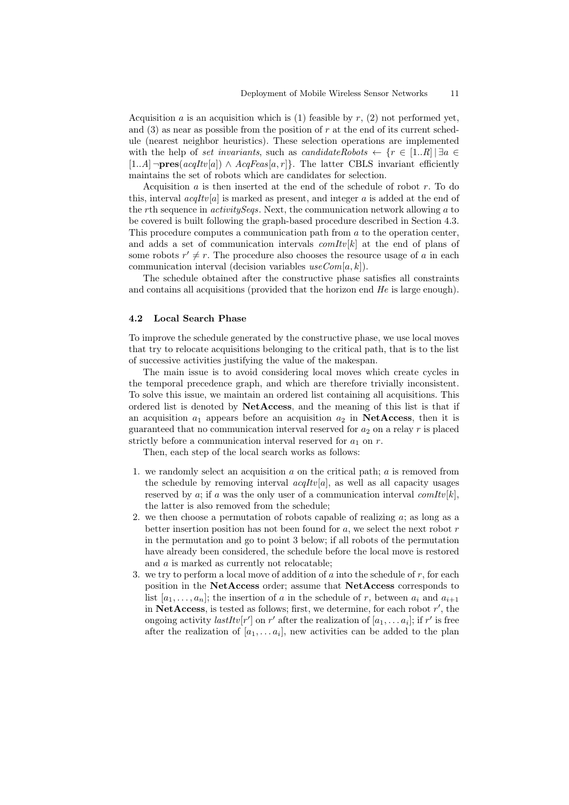Acquisition a is an acquisition which is  $(1)$  feasible by r,  $(2)$  not performed yet, and  $(3)$  as near as possible from the position of r at the end of its current schedule (nearest neighbor heuristics). These selection operations are implemented with the help of set invariants, such as candidateRobots  $\leftarrow \{r \in [1..R] | \exists a \in$  $[1..A] \neg \textbf{pres}(acqltv[a]) \wedge AcqFeas[a, r]$ . The latter CBLS invariant efficiently maintains the set of robots which are candidates for selection.

Acquisition  $a$  is then inserted at the end of the schedule of robot  $r$ . To do this, interval  $acaltv[a]$  is marked as present, and integer a is added at the end of the rth sequence in *activitySeqs*. Next, the communication network allowing  $\alpha$  to be covered is built following the graph-based procedure described in Section 4.3. This procedure computes a communication path from a to the operation center, and adds a set of communication intervals  $comItv[k]$  at the end of plans of some robots  $r' \neq r$ . The procedure also chooses the resource usage of a in each communication interval (decision variables  $useCom[a, k]$ ).

The schedule obtained after the constructive phase satisfies all constraints and contains all acquisitions (provided that the horizon end  $He$  is large enough).

### 4.2 Local Search Phase

To improve the schedule generated by the constructive phase, we use local moves that try to relocate acquisitions belonging to the critical path, that is to the list of successive activities justifying the value of the makespan.

The main issue is to avoid considering local moves which create cycles in the temporal precedence graph, and which are therefore trivially inconsistent. To solve this issue, we maintain an ordered list containing all acquisitions. This ordered list is denoted by NetAccess, and the meaning of this list is that if an acquisition  $a_1$  appears before an acquisition  $a_2$  in **NetAccess**, then it is guaranteed that no communication interval reserved for  $a_2$  on a relay r is placed strictly before a communication interval reserved for  $a_1$  on  $r$ .

Then, each step of the local search works as follows:

- 1. we randomly select an acquisition  $a$  on the critical path;  $a$  is removed from the schedule by removing interval  $acqItv[a]$ , as well as all capacity usages reserved by a; if a was the only user of a communication interval  $\text{comltv}[k]$ , the latter is also removed from the schedule;
- 2. we then choose a permutation of robots capable of realizing  $a$ ; as long as a better insertion position has not been found for  $a$ , we select the next robot  $r$ in the permutation and go to point 3 below; if all robots of the permutation have already been considered, the schedule before the local move is restored and a is marked as currently not relocatable;
- 3. we try to perform a local move of addition of  $a$  into the schedule of  $r$ , for each position in the NetAccess order; assume that NetAccess corresponds to list  $[a_1, \ldots, a_n]$ ; the insertion of a in the schedule of r, between  $a_i$  and  $a_{i+1}$ in NetAccess, is tested as follows; first, we determine, for each robot  $r'$ , the ongoing activity  $lastItv[r']$  on  $r'$  after the realization of  $[a_1, \ldots, a_i]$ ; if  $r'$  is free after the realization of  $[a_1, \ldots, a_i]$ , new activities can be added to the plan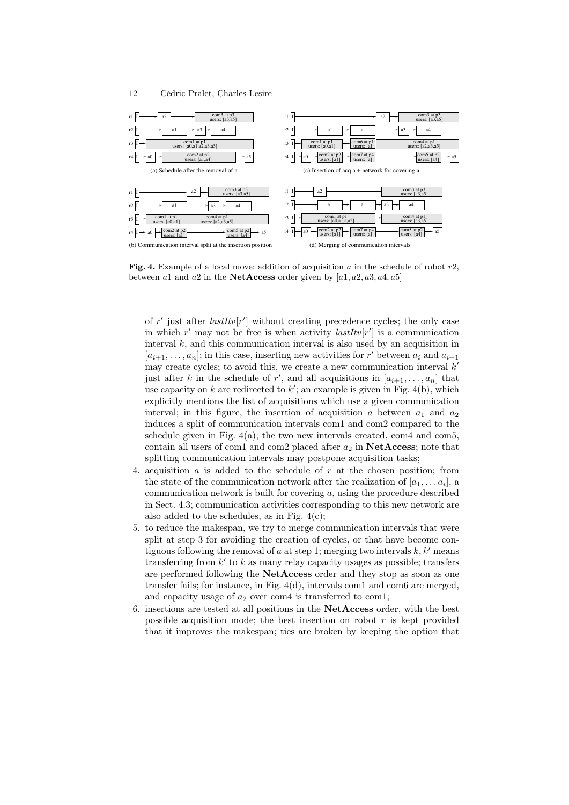



Fig. 4. Example of a local move: addition of acquisition  $a$  in the schedule of robot  $r2$ , between a1 and a2 in the **NetAccess** order given by  $[a1, a2, a3, a4, a5]$ 

of  $r'$  just after *lastItv*[ $r'$ ] without creating precedence cycles; the only case in which  $r'$  may not be free is when activity  $lastItv[r']$  is a communication interval  $k$ , and this communication interval is also used by an acquisition in  $[a_{i+1}, \ldots, a_n]$ ; in this case, inserting new activities for r' between  $a_i$  and  $a_{i+1}$ may create cycles; to avoid this, we create a new communication interval  $k'$ just after k in the schedule of r', and all acquisitions in  $[a_{i+1},..., a_n]$  that use capacity on k are redirected to  $k'$ ; an example is given in Fig. 4(b), which explicitly mentions the list of acquisitions which use a given communication interval; in this figure, the insertion of acquisition a between  $a_1$  and  $a_2$ induces a split of communication intervals com1 and com2 compared to the schedule given in Fig.  $4(a)$ ; the two new intervals created, com4 and com5, contain all users of com1 and com2 placed after  $a_2$  in  $\textbf{NetAccess}$ ; note that splitting communication intervals may postpone acquisition tasks;

- 4. acquisition a is added to the schedule of r at the chosen position; from the state of the communication network after the realization of  $[a_1, \ldots, a_i]$ , a communication network is built for covering  $a$ , using the procedure described in Sect. 4.3; communication activities corresponding to this new network are also added to the schedules, as in Fig.  $4(c)$ ;
- 5. to reduce the makespan, we try to merge communication intervals that were split at step 3 for avoiding the creation of cycles, or that have become contiguous following the removal of a at step 1; merging two intervals  $k, k'$  means transferring from  $k'$  to k as many relay capacity usages as possible; transfers are performed following the NetAccess order and they stop as soon as one transfer fails; for instance, in Fig. 4(d), intervals com1 and com6 are merged, and capacity usage of  $a_2$  over com4 is transferred to com1;
- 6. insertions are tested at all positions in the NetAccess order, with the best possible acquisition mode; the best insertion on robot  $r$  is kept provided that it improves the makespan; ties are broken by keeping the option that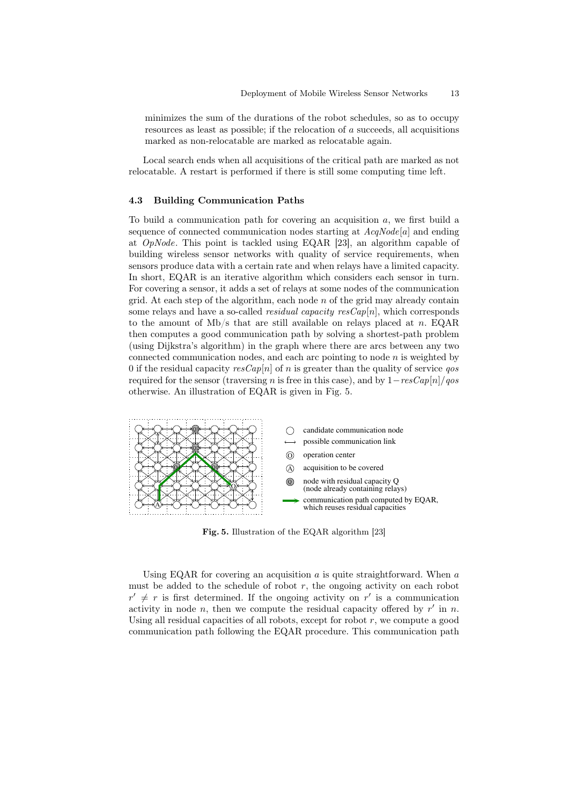minimizes the sum of the durations of the robot schedules, so as to occupy resources as least as possible; if the relocation of a succeeds, all acquisitions marked as non-relocatable are marked as relocatable again.

Local search ends when all acquisitions of the critical path are marked as not relocatable. A restart is performed if there is still some computing time left.

#### 4.3 Building Communication Paths

To build a communication path for covering an acquisition  $a$ , we first build a sequence of connected communication nodes starting at AcqNode[a] and ending at OpNode. This point is tackled using EQAR [23], an algorithm capable of building wireless sensor networks with quality of service requirements, when sensors produce data with a certain rate and when relays have a limited capacity. In short, EQAR is an iterative algorithm which considers each sensor in turn. For covering a sensor, it adds a set of relays at some nodes of the communication grid. At each step of the algorithm, each node  $n$  of the grid may already contain some relays and have a so-called *residual capacity resCap[n]*, which corresponds to the amount of Mb/s that are still available on relays placed at n. EQAR then computes a good communication path by solving a shortest-path problem (using Dijkstra's algorithm) in the graph where there are arcs between any two connected communication nodes, and each arc pointing to node  $n$  is weighted by 0 if the residual capacity  $resCap[n]$  of n is greater than the quality of service gos required for the sensor (traversing n is free in this case), and by  $1-resCap[n]/qos$ otherwise. An illustration of EQAR is given in Fig. 5.



Fig. 5. Illustration of the EQAR algorithm [23]

Using EQAR for covering an acquisition  $a$  is quite straightforward. When  $a$ must be added to the schedule of robot  $r$ , the ongoing activity on each robot  $r' \neq r$  is first determined. If the ongoing activity on r' is a communication activity in node  $n$ , then we compute the residual capacity offered by  $r'$  in  $n$ . Using all residual capacities of all robots, except for robot  $r$ , we compute a good communication path following the EQAR procedure. This communication path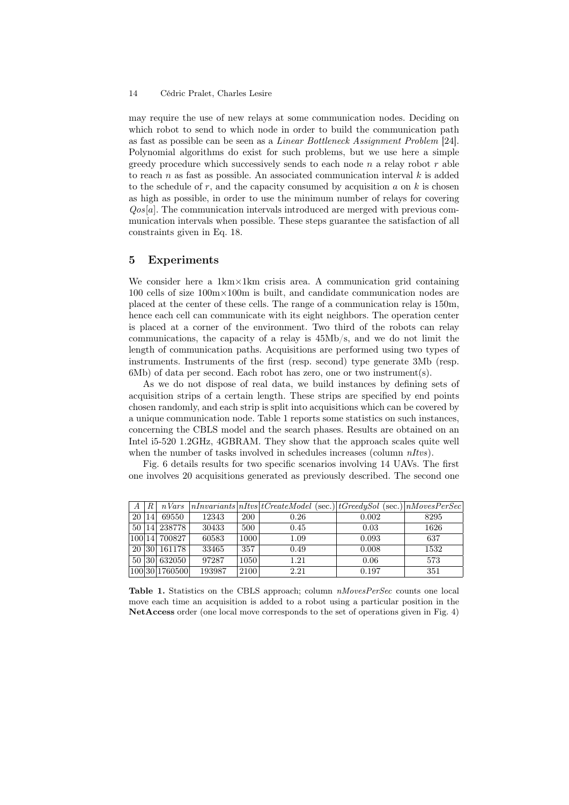may require the use of new relays at some communication nodes. Deciding on which robot to send to which node in order to build the communication path as fast as possible can be seen as a Linear Bottleneck Assignment Problem [24]. Polynomial algorithms do exist for such problems, but we use here a simple greedy procedure which successively sends to each node  $n$  a relay robot  $r$  able to reach  $n$  as fast as possible. An associated communication interval  $k$  is added to the schedule of  $r$ , and the capacity consumed by acquisition  $a$  on  $k$  is chosen as high as possible, in order to use the minimum number of relays for covering  $Qos[a]$ . The communication intervals introduced are merged with previous communication intervals when possible. These steps guarantee the satisfaction of all constraints given in Eq. 18.

# 5 Experiments

We consider here a  $1 \text{km} \times 1 \text{km}$  crisis area. A communication grid containing 100 cells of size  $100 \text{m} \times 100 \text{m}$  is built, and candidate communication nodes are placed at the center of these cells. The range of a communication relay is 150m, hence each cell can communicate with its eight neighbors. The operation center is placed at a corner of the environment. Two third of the robots can relay communications, the capacity of a relay is 45Mb/s, and we do not limit the length of communication paths. Acquisitions are performed using two types of instruments. Instruments of the first (resp. second) type generate 3Mb (resp. 6Mb) of data per second. Each robot has zero, one or two instrument(s).

As we do not dispose of real data, we build instances by defining sets of acquisition strips of a certain length. These strips are specified by end points chosen randomly, and each strip is split into acquisitions which can be covered by a unique communication node. Table 1 reports some statistics on such instances, concerning the CBLS model and the search phases. Results are obtained on an Intel i5-520 1.2GHz, 4GBRAM. They show that the approach scales quite well when the number of tasks involved in schedules increases (column *nItvs*).

Fig. 6 details results for two specific scenarios involving 14 UAVs. The first one involves 20 acquisitions generated as previously described. The second one

|    |    | nVars            |        |      | $ nInvariants nItvs tCreateModel$ (sec.) tGreedySol (sec.) nMovesPerSec |       |      |
|----|----|------------------|--------|------|-------------------------------------------------------------------------|-------|------|
| 20 | 14 | 69550            | 12343  | 200  | 0.26                                                                    | 0.002 | 8295 |
|    |    | 50   14   238778 | 30433  | 500  | 0.45                                                                    | 0.03  | 1626 |
|    |    | 100 14 700 827   | 60583  | 1000 | 1.09                                                                    | 0.093 | 637  |
|    |    | 20 30 161178     | 33465  | 357  | 0.49                                                                    | 0.008 | 1532 |
|    |    | 50 30 632050     | 97287  | 1050 | 1.21                                                                    | 0.06  | 573  |
|    |    | 100 30 1760 500  | 193987 | 2100 | 2.21                                                                    | 0.197 | 351  |
|    |    |                  |        |      |                                                                         |       |      |

Table 1. Statistics on the CBLS approach; column nMovesPerSec counts one local move each time an acquisition is added to a robot using a particular position in the NetAccess order (one local move corresponds to the set of operations given in Fig. 4)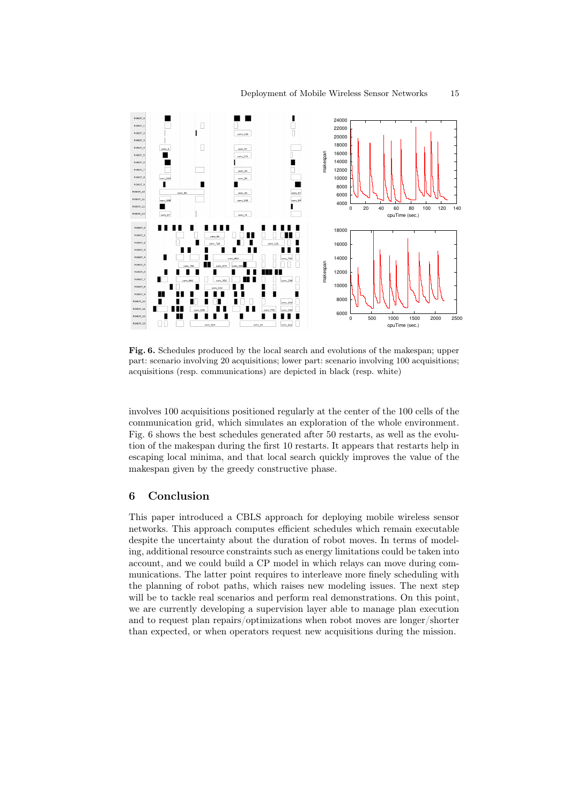

Fig. 6. Schedules produced by the local search and evolutions of the makespan; upper part: scenario involving 20 acquisitions; lower part: scenario involving 100 acquisitions; acquisitions (resp. communications) are depicted in black (resp. white)

involves 100 acquisitions positioned regularly at the center of the 100 cells of the communication grid, which simulates an exploration of the whole environment. Fig. 6 shows the best schedules generated after 50 restarts, as well as the evolution of the makespan during the first 10 restarts. It appears that restarts help in escaping local minima, and that local search quickly improves the value of the makespan given by the greedy constructive phase.

# 6 Conclusion

This paper introduced a CBLS approach for deploying mobile wireless sensor networks. This approach computes efficient schedules which remain executable despite the uncertainty about the duration of robot moves. In terms of modeling, additional resource constraints such as energy limitations could be taken into account, and we could build a CP model in which relays can move during communications. The latter point requires to interleave more finely scheduling with the planning of robot paths, which raises new modeling issues. The next step will be to tackle real scenarios and perform real demonstrations. On this point, we are currently developing a supervision layer able to manage plan execution and to request plan repairs/optimizations when robot moves are longer/shorter than expected, or when operators request new acquisitions during the mission.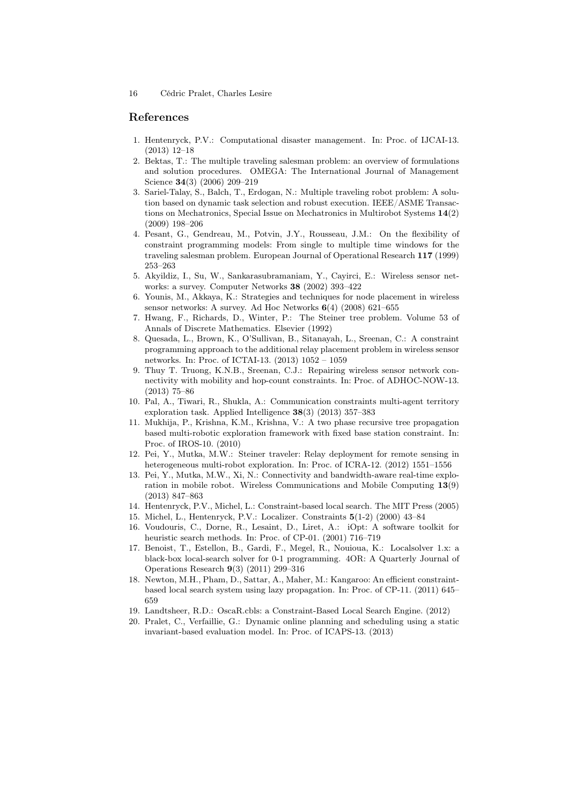## References

- 1. Hentenryck, P.V.: Computational disaster management. In: Proc. of IJCAI-13. (2013) 12–18
- 2. Bektas, T.: The multiple traveling salesman problem: an overview of formulations and solution procedures. OMEGA: The International Journal of Management Science 34(3) (2006) 209–219
- 3. Sariel-Talay, S., Balch, T., Erdogan, N.: Multiple traveling robot problem: A solution based on dynamic task selection and robust execution. IEEE/ASME Transactions on Mechatronics, Special Issue on Mechatronics in Multirobot Systems 14(2) (2009) 198–206
- 4. Pesant, G., Gendreau, M., Potvin, J.Y., Rousseau, J.M.: On the flexibility of constraint programming models: From single to multiple time windows for the traveling salesman problem. European Journal of Operational Research 117 (1999) 253–263
- 5. Akyildiz, I., Su, W., Sankarasubramaniam, Y., Cayirci, E.: Wireless sensor networks: a survey. Computer Networks 38 (2002) 393–422
- 6. Younis, M., Akkaya, K.: Strategies and techniques for node placement in wireless sensor networks: A survey. Ad Hoc Networks  $6(4)$  (2008) 621–655
- 7. Hwang, F., Richards, D., Winter, P.: The Steiner tree problem. Volume 53 of Annals of Discrete Mathematics. Elsevier (1992)
- 8. Quesada, L., Brown, K., O'Sullivan, B., Sitanayah, L., Sreenan, C.: A constraint programming approach to the additional relay placement problem in wireless sensor networks. In: Proc. of ICTAI-13. (2013) 1052 – 1059
- 9. Thuy T. Truong, K.N.B., Sreenan, C.J.: Repairing wireless sensor network connectivity with mobility and hop-count constraints. In: Proc. of ADHOC-NOW-13. (2013) 75–86
- 10. Pal, A., Tiwari, R., Shukla, A.: Communication constraints multi-agent territory exploration task. Applied Intelligence 38(3) (2013) 357–383
- 11. Mukhija, P., Krishna, K.M., Krishna, V.: A two phase recursive tree propagation based multi-robotic exploration framework with fixed base station constraint. In: Proc. of IROS-10. (2010)
- 12. Pei, Y., Mutka, M.W.: Steiner traveler: Relay deployment for remote sensing in heterogeneous multi-robot exploration. In: Proc. of ICRA-12. (2012) 1551–1556
- 13. Pei, Y., Mutka, M.W., Xi, N.: Connectivity and bandwidth-aware real-time exploration in mobile robot. Wireless Communications and Mobile Computing 13(9) (2013) 847–863
- 14. Hentenryck, P.V., Michel, L.: Constraint-based local search. The MIT Press (2005)
- 15. Michel, L., Hentenryck, P.V.: Localizer. Constraints 5(1-2) (2000) 43–84
- 16. Voudouris, C., Dorne, R., Lesaint, D., Liret, A.: iOpt: A software toolkit for heuristic search methods. In: Proc. of CP-01. (2001) 716–719
- 17. Benoist, T., Estellon, B., Gardi, F., Megel, R., Nouioua, K.: Localsolver 1.x: a black-box local-search solver for 0-1 programming. 4OR: A Quarterly Journal of Operations Research 9(3) (2011) 299–316
- 18. Newton, M.H., Pham, D., Sattar, A., Maher, M.: Kangaroo: An efficient constraintbased local search system using lazy propagation. In: Proc. of CP-11. (2011) 645– 659
- 19. Landtsheer, R.D.: OscaR.cbls: a Constraint-Based Local Search Engine. (2012)
- 20. Pralet, C., Verfaillie, G.: Dynamic online planning and scheduling using a static invariant-based evaluation model. In: Proc. of ICAPS-13. (2013)